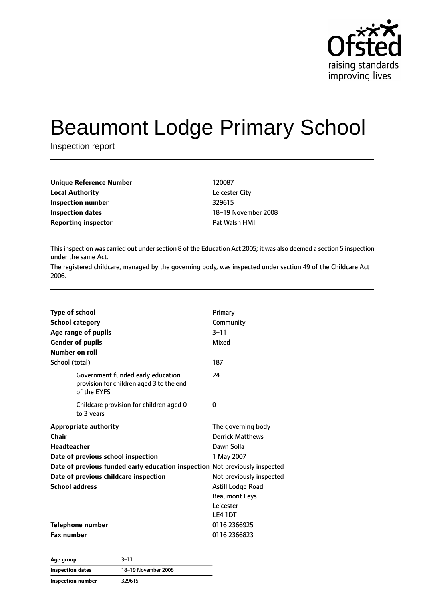

# Beaumont Lodge Primary School

Inspection report

| Unique Reference Number    | 120087              |
|----------------------------|---------------------|
| <b>Local Authority</b>     | Leicester City      |
| Inspection number          | 329615              |
| <b>Inspection dates</b>    | 18-19 November 2008 |
| <b>Reporting inspector</b> | Pat Walsh HMI       |
|                            |                     |

This inspection was carried out under section 8 of the Education Act 2005; it was also deemed a section 5 inspection under the same Act.

The registered childcare, managed by the governing body, was inspected under section 49 of the Childcare Act 2006.

| <b>Type of school</b>                                                                        | Primary                  |
|----------------------------------------------------------------------------------------------|--------------------------|
| <b>School category</b>                                                                       | Community                |
| Age range of pupils                                                                          | $3 - 11$                 |
| <b>Gender of pupils</b>                                                                      | Mixed                    |
| Number on roll                                                                               |                          |
| School (total)                                                                               | 187                      |
| Government funded early education<br>provision for children aged 3 to the end<br>of the EYFS | 24                       |
| Childcare provision for children aged 0<br>to 3 years                                        | 0                        |
| <b>Appropriate authority</b>                                                                 | The governing body       |
| Chair                                                                                        | <b>Derrick Matthews</b>  |
| <b>Headteacher</b>                                                                           | Dawn Solla               |
| Date of previous school inspection                                                           | 1 May 2007               |
| Date of previous funded early education inspection Not previously inspected                  |                          |
| Date of previous childcare inspection                                                        | Not previously inspected |
| <b>School address</b>                                                                        | Astill Lodge Road        |
|                                                                                              | <b>Beaumont Leys</b>     |
|                                                                                              | Leicester                |
|                                                                                              | LE4 1DT                  |
| Telephone number                                                                             | 0116 2366925             |
| <b>Fax number</b>                                                                            | 0116 2366823             |
|                                                                                              |                          |

| Age group                | $3 - 11$            |
|--------------------------|---------------------|
| Inspection dates         | 18-19 November 2008 |
| <b>Inspection number</b> | 329615              |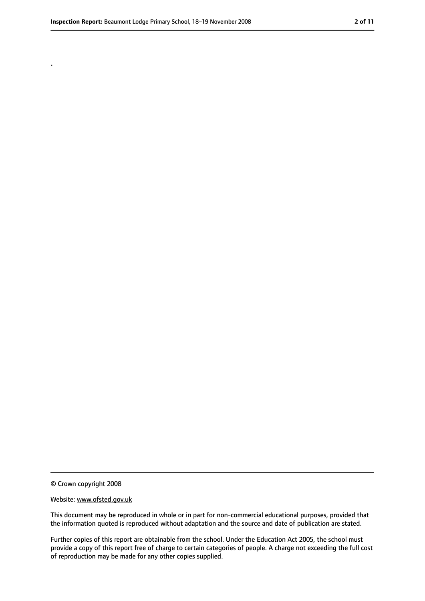.

<sup>©</sup> Crown copyright 2008

Website: www.ofsted.gov.uk

This document may be reproduced in whole or in part for non-commercial educational purposes, provided that the information quoted is reproduced without adaptation and the source and date of publication are stated.

Further copies of this report are obtainable from the school. Under the Education Act 2005, the school must provide a copy of this report free of charge to certain categories of people. A charge not exceeding the full cost of reproduction may be made for any other copies supplied.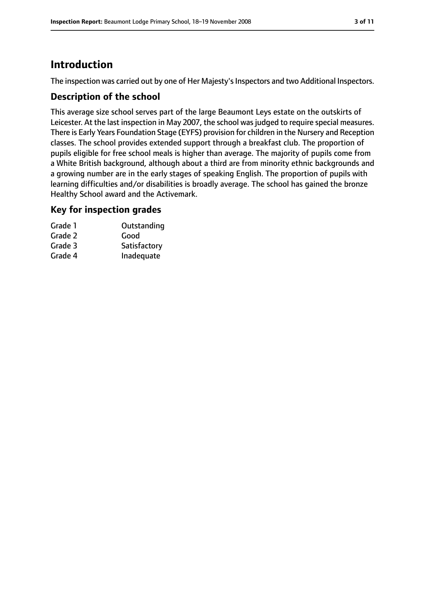# **Introduction**

The inspection was carried out by one of Her Majesty's Inspectors and two Additional Inspectors.

## **Description of the school**

This average size school serves part of the large Beaumont Leys estate on the outskirts of Leicester. At the last inspection in May 2007, the school was judged to require special measures. There is Early Years Foundation Stage (EYFS) provision for children in the Nursery and Reception classes. The school provides extended support through a breakfast club. The proportion of pupils eligible for free school meals is higher than average. The majority of pupils come from a White British background, although about a third are from minority ethnic backgrounds and a growing number are in the early stages of speaking English. The proportion of pupils with learning difficulties and/or disabilities is broadly average. The school has gained the bronze Healthy School award and the Activemark.

## **Key for inspection grades**

| Grade 1 | Outstanding  |
|---------|--------------|
| Grade 2 | Good         |
| Grade 3 | Satisfactory |
| Grade 4 | Inadequate   |
|         |              |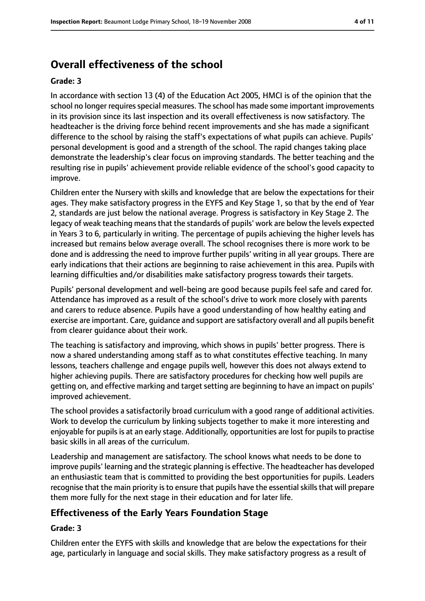# **Overall effectiveness of the school**

#### **Grade: 3**

In accordance with section 13 (4) of the Education Act 2005, HMCI is of the opinion that the school no longer requires special measures. The school has made some important improvements in its provision since its last inspection and its overall effectiveness is now satisfactory. The headteacher is the driving force behind recent improvements and she has made a significant difference to the school by raising the staff's expectations of what pupils can achieve. Pupils' personal development is good and a strength of the school. The rapid changes taking place demonstrate the leadership's clear focus on improving standards. The better teaching and the resulting rise in pupils' achievement provide reliable evidence of the school's good capacity to improve.

Children enter the Nursery with skills and knowledge that are below the expectations for their ages. They make satisfactory progress in the EYFS and Key Stage 1, so that by the end of Year 2, standards are just below the national average. Progress is satisfactory in Key Stage 2. The legacy of weak teaching means that the standards of pupils' work are below the levels expected in Years 3 to 6, particularly in writing. The percentage of pupils achieving the higher levels has increased but remains below average overall. The school recognises there is more work to be done and is addressing the need to improve further pupils' writing in all year groups. There are early indications that their actions are beginning to raise achievement in this area. Pupils with learning difficulties and/or disabilities make satisfactory progress towards their targets.

Pupils' personal development and well-being are good because pupils feel safe and cared for. Attendance has improved as a result of the school's drive to work more closely with parents and carers to reduce absence. Pupils have a good understanding of how healthy eating and exercise are important. Care, guidance and support are satisfactory overall and all pupils benefit from clearer guidance about their work.

The teaching is satisfactory and improving, which shows in pupils' better progress. There is now a shared understanding among staff as to what constitutes effective teaching. In many lessons, teachers challenge and engage pupils well, however this does not always extend to higher achieving pupils. There are satisfactory procedures for checking how well pupils are getting on, and effective marking and target setting are beginning to have an impact on pupils' improved achievement.

The school provides a satisfactorily broad curriculum with a good range of additional activities. Work to develop the curriculum by linking subjects together to make it more interesting and enjoyable for pupils is at an early stage. Additionally, opportunities are lost for pupils to practise basic skills in all areas of the curriculum.

Leadership and management are satisfactory. The school knows what needs to be done to improve pupils' learning and the strategic planning is effective. The headteacher has developed an enthusiastic team that is committed to providing the best opportunities for pupils. Leaders recognise that the main priority is to ensure that pupils have the essential skills that will prepare them more fully for the next stage in their education and for later life.

# **Effectiveness of the Early Years Foundation Stage**

#### **Grade: 3**

Children enter the EYFS with skills and knowledge that are below the expectations for their age, particularly in language and social skills. They make satisfactory progress as a result of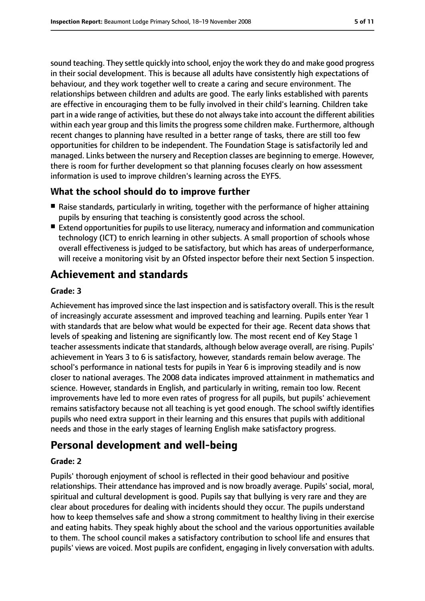sound teaching. They settle quickly into school, enjoy the work they do and make good progress in their social development. This is because all adults have consistently high expectations of behaviour, and they work together well to create a caring and secure environment. The relationships between children and adults are good. The early links established with parents are effective in encouraging them to be fully involved in their child's learning. Children take part in a wide range of activities, but these do not alwaystake into account the different abilities within each year group and this limits the progress some children make. Furthermore, although recent changes to planning have resulted in a better range of tasks, there are still too few opportunities for children to be independent. The Foundation Stage is satisfactorily led and managed. Links between the nursery and Reception classes are beginning to emerge. However, there is room for further development so that planning focuses clearly on how assessment information is used to improve children's learning across the EYFS.

# **What the school should do to improve further**

- Raise standards, particularly in writing, together with the performance of higher attaining pupils by ensuring that teaching is consistently good across the school.
- Extend opportunities for pupils to use literacy, numeracy and information and communication technology (ICT) to enrich learning in other subjects. A small proportion of schools whose overall effectiveness is judged to be satisfactory, but which has areas of underperformance, will receive a monitoring visit by an Ofsted inspector before their next Section 5 inspection.

# **Achievement and standards**

#### **Grade: 3**

Achievement has improved since the last inspection and is satisfactory overall. This is the result of increasingly accurate assessment and improved teaching and learning. Pupils enter Year 1 with standards that are below what would be expected for their age. Recent data shows that levels of speaking and listening are significantly low. The most recent end of Key Stage 1 teacher assessments indicate that standards, although below average overall, are rising. Pupils' achievement in Years 3 to 6 is satisfactory, however, standards remain below average. The school's performance in national tests for pupils in Year 6 is improving steadily and is now closer to national averages. The 2008 data indicates improved attainment in mathematics and science. However, standards in English, and particularly in writing, remain too low. Recent improvements have led to more even rates of progress for all pupils, but pupils' achievement remains satisfactory because not all teaching is yet good enough. The school swiftly identifies pupils who need extra support in their learning and this ensures that pupils with additional needs and those in the early stages of learning English make satisfactory progress.

# **Personal development and well-being**

## **Grade: 2**

Pupils' thorough enjoyment of school is reflected in their good behaviour and positive relationships. Their attendance has improved and is now broadly average. Pupils' social, moral, spiritual and cultural development is good. Pupils say that bullying is very rare and they are clear about procedures for dealing with incidents should they occur. The pupils understand how to keep themselves safe and show a strong commitment to healthy living in their exercise and eating habits. They speak highly about the school and the various opportunities available to them. The school council makes a satisfactory contribution to school life and ensures that pupils' views are voiced. Most pupils are confident, engaging in lively conversation with adults.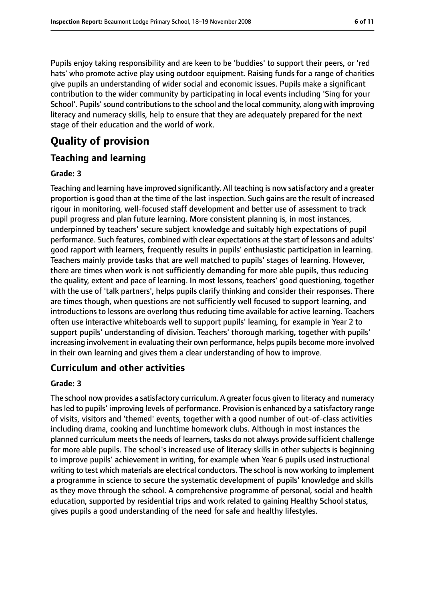Pupils enjoy taking responsibility and are keen to be 'buddies' to support their peers, or 'red hats' who promote active play using outdoor equipment. Raising funds for a range of charities give pupils an understanding of wider social and economic issues. Pupils make a significant contribution to the wider community by participating in local events including 'Sing for your School'. Pupils'sound contributionsto the school and the local community, along with improving literacy and numeracy skills, help to ensure that they are adequately prepared for the next stage of their education and the world of work.

# **Quality of provision**

# **Teaching and learning**

## **Grade: 3**

Teaching and learning have improved significantly. All teaching is now satisfactory and a greater proportion is good than at the time of the last inspection. Such gains are the result of increased rigour in monitoring, well-focused staff development and better use of assessment to track pupil progress and plan future learning. More consistent planning is, in most instances, underpinned by teachers' secure subject knowledge and suitably high expectations of pupil performance. Such features, combined with clear expectations at the start of lessons and adults' good rapport with learners, frequently results in pupils' enthusiastic participation in learning. Teachers mainly provide tasks that are well matched to pupils' stages of learning. However, there are times when work is not sufficiently demanding for more able pupils, thus reducing the quality, extent and pace of learning. In most lessons, teachers' good questioning, together with the use of 'talk partners', helps pupils clarify thinking and consider their responses. There are times though, when questions are not sufficiently well focused to support learning, and introductions to lessons are overlong thus reducing time available for active learning. Teachers often use interactive whiteboards well to support pupils' learning, for example in Year 2 to support pupils' understanding of division. Teachers' thorough marking, together with pupils' increasing involvement in evaluating their own performance, helps pupils become more involved in their own learning and gives them a clear understanding of how to improve.

# **Curriculum and other activities**

## **Grade: 3**

The school now provides a satisfactory curriculum. A greater focus given to literacy and numeracy has led to pupils' improving levels of performance. Provision is enhanced by a satisfactory range of visits, visitors and 'themed' events, together with a good number of out-of-class activities including drama, cooking and lunchtime homework clubs. Although in most instances the planned curriculum meets the needs of learners, tasks do not always provide sufficient challenge for more able pupils. The school's increased use of literacy skills in other subjects is beginning to improve pupils' achievement in writing, for example when Year 6 pupils used instructional writing to test which materials are electrical conductors. The school is now working to implement a programme in science to secure the systematic development of pupils' knowledge and skills as they move through the school. A comprehensive programme of personal, social and health education, supported by residential trips and work related to gaining Healthy School status, gives pupils a good understanding of the need for safe and healthy lifestyles.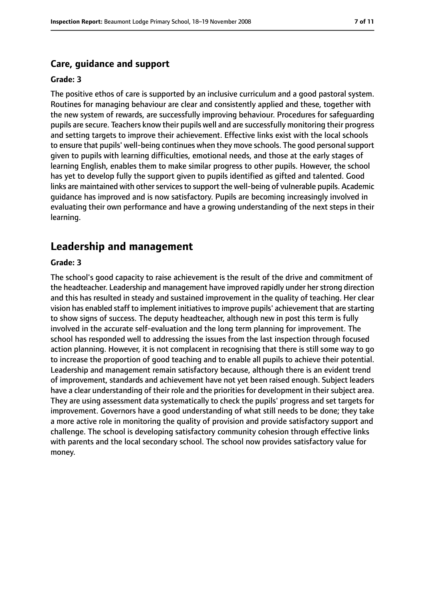#### **Care, guidance and support**

#### **Grade: 3**

The positive ethos of care is supported by an inclusive curriculum and a good pastoral system. Routines for managing behaviour are clear and consistently applied and these, together with the new system of rewards, are successfully improving behaviour. Procedures for safeguarding pupils are secure. Teachers know their pupils well and are successfully monitoring their progress and setting targets to improve their achievement. Effective links exist with the local schools to ensure that pupils' well-being continues when they move schools. The good personal support given to pupils with learning difficulties, emotional needs, and those at the early stages of learning English, enables them to make similar progress to other pupils. However, the school has yet to develop fully the support given to pupils identified as gifted and talented. Good links are maintained with other services to support the well-being of vulnerable pupils. Academic guidance has improved and is now satisfactory. Pupils are becoming increasingly involved in evaluating their own performance and have a growing understanding of the next steps in their learning.

## **Leadership and management**

#### **Grade: 3**

The school's good capacity to raise achievement is the result of the drive and commitment of the headteacher. Leadership and management have improved rapidly under herstrong direction and this has resulted in steady and sustained improvement in the quality of teaching. Her clear vision has enabled staff to implement initiatives to improve pupils' achievement that are starting to show signs of success. The deputy headteacher, although new in post this term is fully involved in the accurate self-evaluation and the long term planning for improvement. The school has responded well to addressing the issues from the last inspection through focused action planning. However, it is not complacent in recognising that there is still some way to go to increase the proportion of good teaching and to enable all pupils to achieve their potential. Leadership and management remain satisfactory because, although there is an evident trend of improvement, standards and achievement have not yet been raised enough. Subject leaders have a clear understanding of their role and the priorities for development in their subject area. They are using assessment data systematically to check the pupils' progress and set targets for improvement. Governors have a good understanding of what still needs to be done; they take a more active role in monitoring the quality of provision and provide satisfactory support and challenge. The school is developing satisfactory community cohesion through effective links with parents and the local secondary school. The school now provides satisfactory value for money.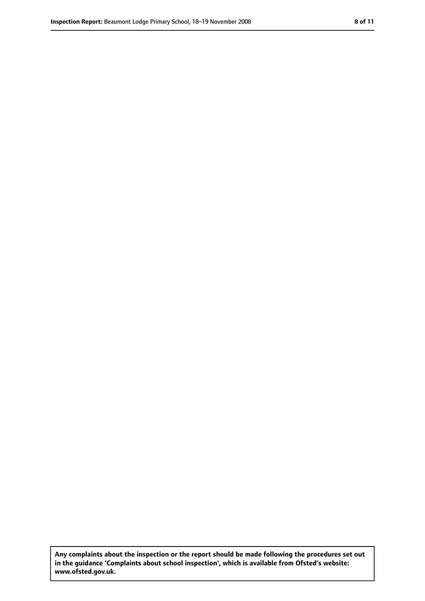**Any complaints about the inspection or the report should be made following the procedures set out in the guidance 'Complaints about school inspection', which is available from Ofsted's website: www.ofsted.gov.uk.**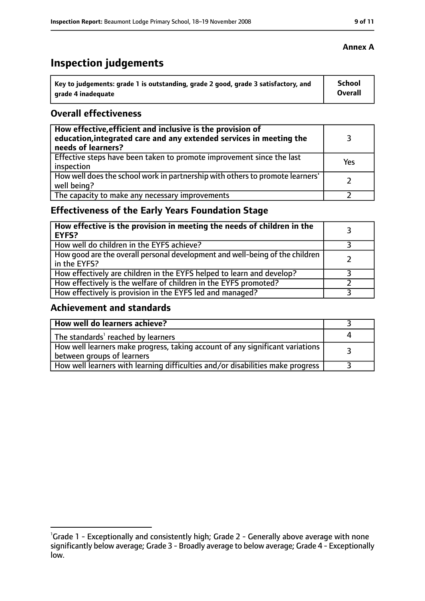# **Inspection judgements**

| Key to judgements: grade 1 is outstanding, grade 2 good, grade 3 satisfactory, and | School  |
|------------------------------------------------------------------------------------|---------|
| arade 4 inadequate                                                                 | Overall |

## **Overall effectiveness**

| How effective, efficient and inclusive is the provision of<br>education, integrated care and any extended services in meeting the<br>needs of learners? |     |
|---------------------------------------------------------------------------------------------------------------------------------------------------------|-----|
| Effective steps have been taken to promote improvement since the last<br>inspection                                                                     | Yes |
| How well does the school work in partnership with others to promote learners'<br>well being?                                                            |     |
| The capacity to make any necessary improvements                                                                                                         |     |

# **Effectiveness of the Early Years Foundation Stage**

| How effective is the provision in meeting the needs of children in the<br><b>EYFS?</b>       |  |
|----------------------------------------------------------------------------------------------|--|
| How well do children in the EYFS achieve?                                                    |  |
| How good are the overall personal development and well-being of the children<br>in the EYFS? |  |
| How effectively are children in the EYFS helped to learn and develop?                        |  |
| How effectively is the welfare of children in the EYFS promoted?                             |  |
| How effectively is provision in the EYFS led and managed?                                    |  |

# **Achievement and standards**

| How well do learners achieve?                                                                               |  |
|-------------------------------------------------------------------------------------------------------------|--|
| The standards <sup>1</sup> reached by learners                                                              |  |
| How well learners make progress, taking account of any significant variations<br>between groups of learners |  |
| How well learners with learning difficulties and/or disabilities make progress                              |  |

#### **Annex A**

<sup>&</sup>lt;sup>1</sup>Grade 1 - Exceptionally and consistently high; Grade 2 - Generally above average with none significantly below average; Grade 3 - Broadly average to below average; Grade 4 - Exceptionally low.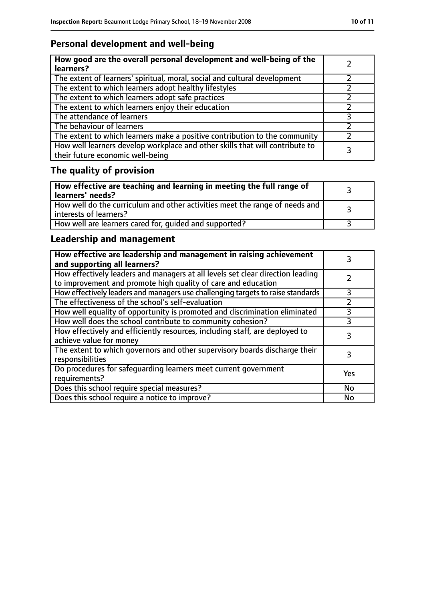# **Personal development and well-being**

| How good are the overall personal development and well-being of the<br>learners?                                 |  |
|------------------------------------------------------------------------------------------------------------------|--|
| The extent of learners' spiritual, moral, social and cultural development                                        |  |
| The extent to which learners adopt healthy lifestyles                                                            |  |
| The extent to which learners adopt safe practices                                                                |  |
| The extent to which learners enjoy their education                                                               |  |
| The attendance of learners                                                                                       |  |
| The behaviour of learners                                                                                        |  |
| The extent to which learners make a positive contribution to the community                                       |  |
| How well learners develop workplace and other skills that will contribute to<br>their future economic well-being |  |

# **The quality of provision**

| How effective are teaching and learning in meeting the full range of<br>learners' needs?              |  |
|-------------------------------------------------------------------------------------------------------|--|
| How well do the curriculum and other activities meet the range of needs and<br>interests of learners? |  |
| How well are learners cared for, quided and supported?                                                |  |

# **Leadership and management**

| How effective are leadership and management in raising achievement<br>and supporting all learners?                                              |           |
|-------------------------------------------------------------------------------------------------------------------------------------------------|-----------|
| How effectively leaders and managers at all levels set clear direction leading<br>to improvement and promote high quality of care and education |           |
| How effectively leaders and managers use challenging targets to raise standards                                                                 | 3         |
| The effectiveness of the school's self-evaluation                                                                                               |           |
| How well equality of opportunity is promoted and discrimination eliminated                                                                      |           |
| How well does the school contribute to community cohesion?                                                                                      | 3         |
| How effectively and efficiently resources, including staff, are deployed to<br>achieve value for money                                          | 3         |
| The extent to which governors and other supervisory boards discharge their<br>responsibilities                                                  | 3         |
| Do procedures for safequarding learners meet current government<br>requirements?                                                                | Yes       |
| Does this school require special measures?                                                                                                      | No        |
| Does this school require a notice to improve?                                                                                                   | <b>No</b> |